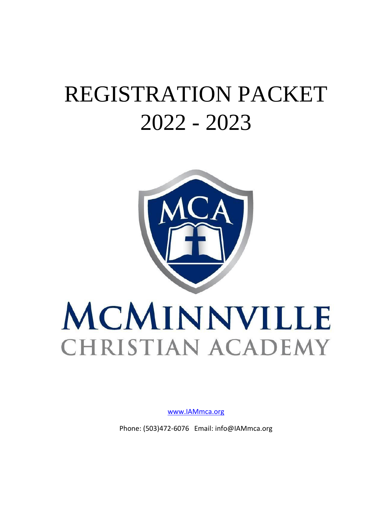## REGISTRATION PACKET 2022 - 2023



# MCMINNVILLE **CHRISTIAN ACADEMY**

[www.IAMmca.org](http://www.iammca.org/)

Phone: (503)472-6076 Email: info@IAMmca.org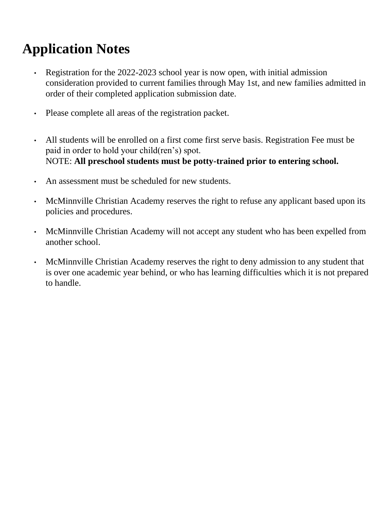### **Application Notes**

- Registration for the 2022-2023 school year is now open, with initial admission consideration provided to current families through May 1st, and new families admitted in order of their completed application submission date.
- Please complete all areas of the registration packet.
- All students will be enrolled on a first come first serve basis. Registration Fee must be paid in order to hold your child(ren's) spot. NOTE: **All preschool students must be potty-trained prior to entering school.**
- An assessment must be scheduled for new students.
- McMinnville Christian Academy reserves the right to refuse any applicant based upon its policies and procedures.
- McMinnville Christian Academy will not accept any student who has been expelled from another school.
- McMinnville Christian Academy reserves the right to deny admission to any student that is over one academic year behind, or who has learning difficulties which it is not prepared to handle.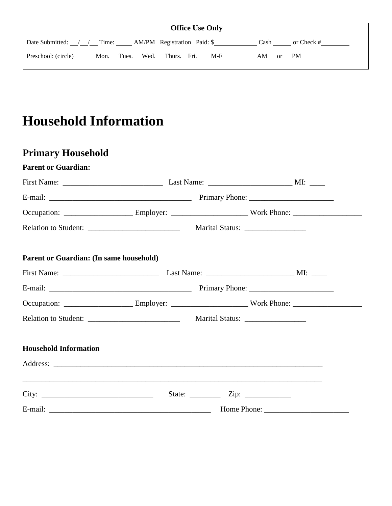|                     |      |       |      |             | <b>Office Use Only</b> |                |              |  |
|---------------------|------|-------|------|-------------|------------------------|----------------|--------------|--|
|                     |      |       |      |             |                        | Cash           | or Check $#$ |  |
| Preschool: (circle) | Mon. | Tues. | Wed. | Thurs. Fri. | $M-F$                  | AM<br>$\alpha$ | <b>PM</b>    |  |

### **Household Information**

### **Primary Household**

| <b>Parent or Guardian:</b>                                                                                     |  |                                      |  |  |  |
|----------------------------------------------------------------------------------------------------------------|--|--------------------------------------|--|--|--|
|                                                                                                                |  |                                      |  |  |  |
|                                                                                                                |  |                                      |  |  |  |
| Occupation: __________________________Employer: __________________________Work Phone: ________________________ |  |                                      |  |  |  |
|                                                                                                                |  | Marital Status: ____________________ |  |  |  |
| Parent or Guardian: (In same household)                                                                        |  |                                      |  |  |  |
|                                                                                                                |  |                                      |  |  |  |
|                                                                                                                |  |                                      |  |  |  |
| Occupation: __________________________Employer: ___________________________Work Phone: _______________________ |  |                                      |  |  |  |
|                                                                                                                |  | Marital Status: __________________   |  |  |  |
| <b>Household Information</b>                                                                                   |  |                                      |  |  |  |
|                                                                                                                |  |                                      |  |  |  |
|                                                                                                                |  |                                      |  |  |  |
|                                                                                                                |  |                                      |  |  |  |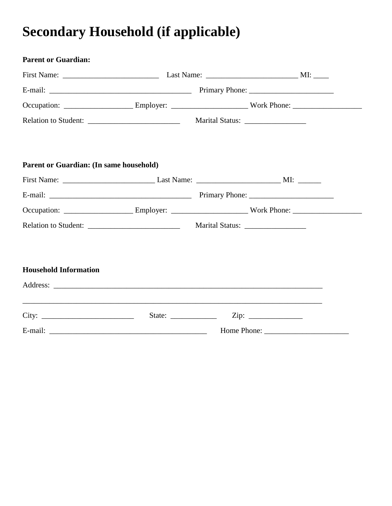### **Secondary Household (if applicable)**

| <b>Parent or Guardian:</b>              |  |  |                                                                                                                |
|-----------------------------------------|--|--|----------------------------------------------------------------------------------------------------------------|
|                                         |  |  |                                                                                                                |
|                                         |  |  |                                                                                                                |
|                                         |  |  | Occupation: __________________________Employer: ___________________________Work Phone: _______________________ |
|                                         |  |  |                                                                                                                |
|                                         |  |  |                                                                                                                |
| Parent or Guardian: (In same household) |  |  |                                                                                                                |
|                                         |  |  |                                                                                                                |
|                                         |  |  |                                                                                                                |
|                                         |  |  | Occupation: _________________________Employer: ___________________________Work Phone: ________________________ |
|                                         |  |  | Marital Status: ____________________                                                                           |
|                                         |  |  |                                                                                                                |
| <b>Household Information</b>            |  |  |                                                                                                                |
|                                         |  |  |                                                                                                                |
|                                         |  |  |                                                                                                                |
| City:                                   |  |  |                                                                                                                |
|                                         |  |  |                                                                                                                |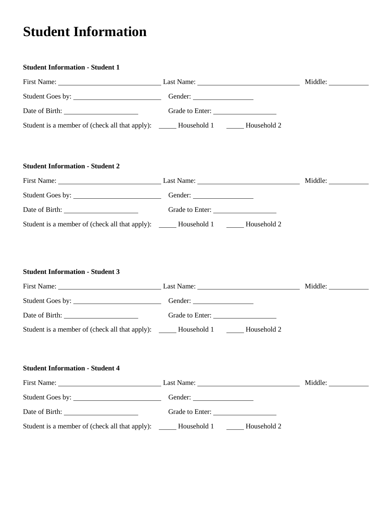### **Student Information**

| <b>Student Information - Student 1</b>                                                                                                                                                                                                                                   |                         |  |
|--------------------------------------------------------------------------------------------------------------------------------------------------------------------------------------------------------------------------------------------------------------------------|-------------------------|--|
| First Name: Last Name: Last Name:                                                                                                                                                                                                                                        |                         |  |
|                                                                                                                                                                                                                                                                          |                         |  |
| Date of Birth: Camera Content Content Content Content Content Content Content Content Content Content Content Content Content Content Content Content Content Content Content Content Content Content Content Content Content                                            |                         |  |
| Student is a member of (check all that apply): ______ Household 1 _______ Household 2                                                                                                                                                                                    |                         |  |
| <b>Student Information - Student 2</b>                                                                                                                                                                                                                                   |                         |  |
| First Name: Middle: Manne: Middle: Manne: Middle: Middle: Middle: Middle: Middle: Middle: Middle: Middle: Middle: Middle: Middle: Middle: Middle: Middle: Middle: Middle: Middle: Middle: Middle: Middle: Middle: Middle: Midd                                           |                         |  |
| Student Goes by: <u>Conserversion Conserversion</u> Gender:                                                                                                                                                                                                              |                         |  |
| Date of Birth: Cambridge Content Content Content Content Content Content Content Content Content Content Content Content Content Content Content Content Content Content Content Content Content Content Content Content Conte                                           |                         |  |
| Student is a member of (check all that apply): ______ Household 1 _______ Household 2                                                                                                                                                                                    |                         |  |
| <b>Student Information - Student 3</b><br>First Name: Middle: Manne: Middle: Manne: Middle: Middle: Middle: Middle: Middle: Middle: Middle: Middle: Middle: Middle: Middle: Middle: Middle: Middle: Middle: Middle: Middle: Middle: Middle: Middle: Middle: Middle: Midd |                         |  |
|                                                                                                                                                                                                                                                                          |                         |  |
| Date of Birth: Cambridge Content Content Content Content Content Content Content Content Content Content Content Content Content Content Content Content Content Content Content Content Content Content Content Content Conte                                           |                         |  |
| Student is a member of (check all that apply): _______ Household 1 ________ Household 2                                                                                                                                                                                  |                         |  |
| <b>Student Information - Student 4</b>                                                                                                                                                                                                                                   |                         |  |
| First Name: Last Name: Last Name:                                                                                                                                                                                                                                        |                         |  |
| Student Goes by:                                                                                                                                                                                                                                                         |                         |  |
|                                                                                                                                                                                                                                                                          | Grade to Enter:         |  |
| Student is a member of (check all that apply):                                                                                                                                                                                                                           | Household 1 Household 2 |  |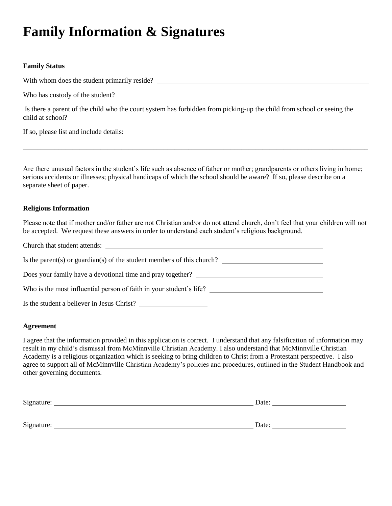### **Family Information & Signatures**

#### **Family Status**

With whom does the student primarily reside?

Who has custody of the student?

Is there a parent of the child who the court system has forbidden from picking-up the child from school or seeing the child at school?

If so, please list and include details:

Are there unusual factors in the student's life such as absence of father or mother; grandparents or others living in home; serious accidents or illnesses; physical handicaps of which the school should be aware? If so, please describe on a separate sheet of paper.

\_\_\_\_\_\_\_\_\_\_\_\_\_\_\_\_\_\_\_\_\_\_\_\_\_\_\_\_\_\_\_\_\_\_\_\_\_\_\_\_\_\_\_\_\_\_\_\_\_\_\_\_\_\_\_\_\_\_\_\_\_\_\_\_\_\_\_\_\_\_\_\_\_\_\_\_\_\_\_\_\_\_\_\_\_\_\_\_\_\_\_\_\_\_\_\_\_\_

#### **Religious Information**

Please note that if mother and/or father are not Christian and/or do not attend church, don't feel that your children will not be accepted. We request these answers in order to understand each student's religious background.

| Church that student attends:                                                                                                                                                                                                                                                                                                                                       |
|--------------------------------------------------------------------------------------------------------------------------------------------------------------------------------------------------------------------------------------------------------------------------------------------------------------------------------------------------------------------|
| Is the parent(s) or guardian(s) of the student members of this church? $\frac{1}{\sqrt{1-\frac{1}{\sqrt{1-\frac{1}{\sqrt{1-\frac{1}{\sqrt{1-\frac{1}{\sqrt{1-\frac{1}{\sqrt{1-\frac{1}{\sqrt{1-\frac{1}{\sqrt{1-\frac{1}{\sqrt{1-\frac{1}{\sqrt{1-\frac{1}{\sqrt{1-\frac{1}{\sqrt{1-\frac{1}{\sqrt{1-\frac{1}{\sqrt{1-\frac{1}{\sqrt{1-\frac{1}{\sqrt{1-\frac{1}{$ |
| Does your family have a devotional time and pray together?                                                                                                                                                                                                                                                                                                         |
| Who is the most influential person of faith in your student's life?                                                                                                                                                                                                                                                                                                |
| Is the student a believer in Jesus Christ?                                                                                                                                                                                                                                                                                                                         |

#### **Agreement**

I agree that the information provided in this application is correct. I understand that any falsification of information may result in my child's dismissal from McMinnville Christian Academy. I also understand that McMinnville Christian Academy is a religious organization which is seeking to bring children to Christ from a Protestant perspective. I also agree to support all of McMinnville Christian Academy's policies and procedures, outlined in the Student Handbook and other governing documents.

| Signature: | Date: |
|------------|-------|
|            |       |
| Signature: | Date: |
|            |       |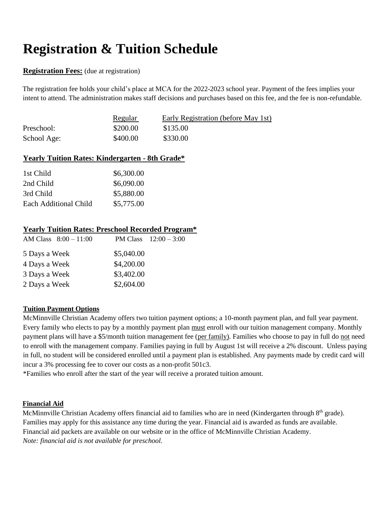### **Registration & Tuition Schedule**

#### **Registration Fees:** (due at registration)

The registration fee holds your child's place at MCA for the 2022-2023 school year. Payment of the fees implies your intent to attend. The administration makes staff decisions and purchases based on this fee, and the fee is non-refundable.

|             | <u>Regular</u> | Early Registration (before May 1st) |
|-------------|----------------|-------------------------------------|
| Preschool:  | \$200.00       | \$135.00                            |
| School Age: | \$400.00       | \$330.00                            |

### **Yearly Tuition Rates: Kindergarten - 8th Grade\***

| 1st Child             | \$6,300.00 |
|-----------------------|------------|
| 2nd Child             | \$6,090.00 |
| 3rd Child             | \$5,880.00 |
| Each Additional Child | \$5,775.00 |

### **Yearly Tuition Rates: Preschool Recorded Program\***

|            | PM Class $12:00 - 3:00$ |
|------------|-------------------------|
| \$5,040.00 |                         |
| \$4,200.00 |                         |
| \$3,402.00 |                         |
| \$2,604.00 |                         |
|            |                         |

### **Tuition Payment Options**

McMinnville Christian Academy offers two tuition payment options; a 10-month payment plan, and full year payment. Every family who elects to pay by a monthly payment plan must enroll with our tuition management company. Monthly payment plans will have a \$5/month tuition management fee (per family). Families who choose to pay in full do not need to enroll with the management company. Families paying in full by August 1st will receive a 2% discount. Unless paying in full, no student will be considered enrolled until a payment plan is established. Any payments made by credit card will incur a 3% processing fee to cover our costs as a non-profit 501c3.

\*Families who enroll after the start of the year will receive a prorated tuition amount.

#### **Financial Aid**

McMinnville Christian Academy offers financial aid to families who are in need (Kindergarten through 8<sup>th</sup> grade). Families may apply for this assistance any time during the year. Financial aid is awarded as funds are available. Financial aid packets are available on our website or in the office of McMinnville Christian Academy. *Note: financial aid is not available for preschool.*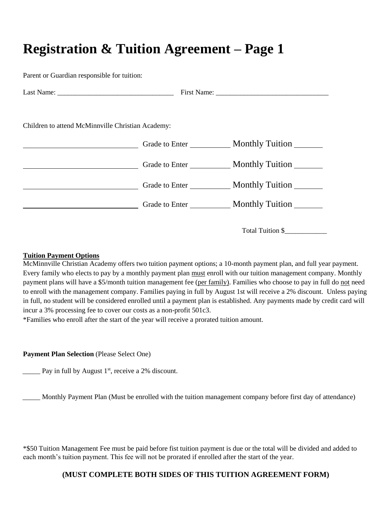### **Registration & Tuition Agreement – Page 1**

Parent or Guardian responsible for tuition:

| Children to attend McMinnville Christian Academy: |                                |
|---------------------------------------------------|--------------------------------|
|                                                   |                                |
|                                                   |                                |
|                                                   | Grade to Enter Monthly Tuition |
|                                                   | Grade to Enter Monthly Tuition |

Total Tuition \$

#### **Tuition Payment Options**

McMinnville Christian Academy offers two tuition payment options; a 10-month payment plan, and full year payment. Every family who elects to pay by a monthly payment plan must enroll with our tuition management company. Monthly payment plans will have a \$5/month tuition management fee (per family). Families who choose to pay in full do not need to enroll with the management company. Families paying in full by August 1st will receive a 2% discount. Unless paying in full, no student will be considered enrolled until a payment plan is established. Any payments made by credit card will incur a 3% processing fee to cover our costs as a non-profit 501c3.

\*Families who enroll after the start of the year will receive a prorated tuition amount.

#### **Payment Plan Selection** (Please Select One)

 $\frac{1}{\sqrt{2}}$  Pay in full by August 1<sup>st</sup>, receive a 2% discount.

\_\_\_\_\_ Monthly Payment Plan (Must be enrolled with the tuition management company before first day of attendance)

\*\$50 Tuition Management Fee must be paid before fist tuition payment is due or the total will be divided and added to each month's tuition payment. This fee will not be prorated if enrolled after the start of the year.

### **(MUST COMPLETE BOTH SIDES OF THIS TUITION AGREEMENT FORM)**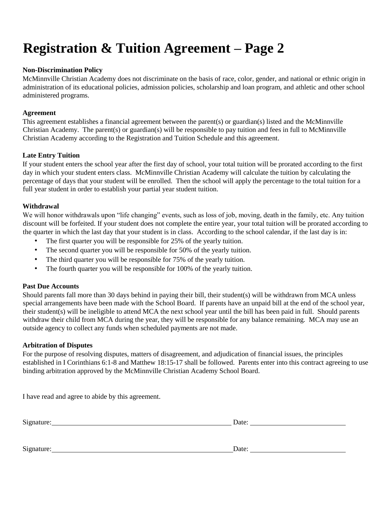### **Registration & Tuition Agreement – Page 2**

#### **Non-Discrimination Policy**

McMinnville Christian Academy does not discriminate on the basis of race, color, gender, and national or ethnic origin in administration of its educational policies, admission policies, scholarship and loan program, and athletic and other school administered programs.

#### **Agreement**

This agreement establishes a financial agreement between the parent(s) or guardian(s) listed and the McMinnville Christian Academy. The parent(s) or guardian(s) will be responsible to pay tuition and fees in full to McMinnville Christian Academy according to the Registration and Tuition Schedule and this agreement.

#### **Late Entry Tuition**

If your student enters the school year after the first day of school, your total tuition will be prorated according to the first day in which your student enters class. McMinnville Christian Academy will calculate the tuition by calculating the percentage of days that your student will be enrolled. Then the school will apply the percentage to the total tuition for a full year student in order to establish your partial year student tuition.

#### **Withdrawal**

We will honor withdrawals upon "life changing" events, such as loss of job, moving, death in the family, etc. Any tuition discount will be forfeited. If your student does not complete the entire year, your total tuition will be prorated according to the quarter in which the last day that your student is in class. According to the school calendar, if the last day is in:

- The first quarter you will be responsible for 25% of the yearly tuition.
- The second quarter you will be responsible for 50% of the yearly tuition.
- The third quarter you will be responsible for 75% of the yearly tuition.
- The fourth quarter you will be responsible for 100% of the yearly tuition.

#### **Past Due Accounts**

Should parents fall more than 30 days behind in paying their bill, their student(s) will be withdrawn from MCA unless special arrangements have been made with the School Board. If parents have an unpaid bill at the end of the school year, their student(s) will be ineligible to attend MCA the next school year until the bill has been paid in full. Should parents withdraw their child from MCA during the year, they will be responsible for any balance remaining. MCA may use an outside agency to collect any funds when scheduled payments are not made.

#### **Arbitration of Disputes**

For the purpose of resolving disputes, matters of disagreement, and adjudication of financial issues, the principles established in I Corinthians 6:1-8 and Matthew 18:15-17 shall be followed. Parents enter into this contract agreeing to use binding arbitration approved by the McMinnville Christian Academy School Board.

I have read and agree to abide by this agreement.

Signature: I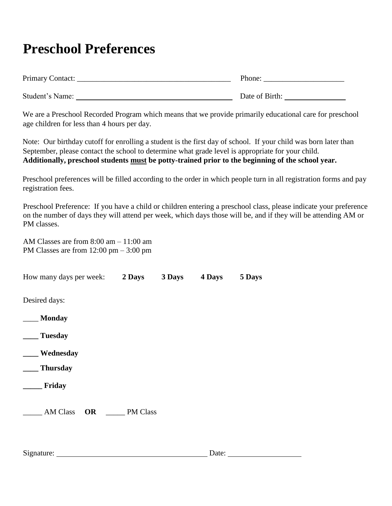### **Preschool Preferences**

| Primary Contact: | Phone:         |
|------------------|----------------|
| Student's Name:  | Date of Birth: |

We are a Preschool Recorded Program which means that we provide primarily educational care for preschool age children for less than 4 hours per day.

Note: Our birthday cutoff for enrolling a student is the first day of school. If your child was born later than September, please contact the school to determine what grade level is appropriate for your child. **Additionally, preschool students must be potty-trained prior to the beginning of the school year.**

Preschool preferences will be filled according to the order in which people turn in all registration forms and pay registration fees.

Preschool Preference: If you have a child or children entering a preschool class, please indicate your preference on the number of days they will attend per week, which days those will be, and if they will be attending AM or PM classes.

AM Classes are from 8:00 am – 11:00 am PM Classes are from 12:00 pm – 3:00 pm

| How many days per week:      | 2 Days   | 3 Days | 4 Days | 5 Days |
|------------------------------|----------|--------|--------|--------|
| Desired days:                |          |        |        |        |
| <b>Monday</b>                |          |        |        |        |
| <b>Tuesday</b>               |          |        |        |        |
| Wednesday                    |          |        |        |        |
| <b>Thursday</b>              |          |        |        |        |
| Friday                       |          |        |        |        |
| <b>AM Class</b><br><b>OR</b> | PM Class |        |        |        |
|                              |          |        |        |        |

| Signature: | Date: |  |
|------------|-------|--|
|            |       |  |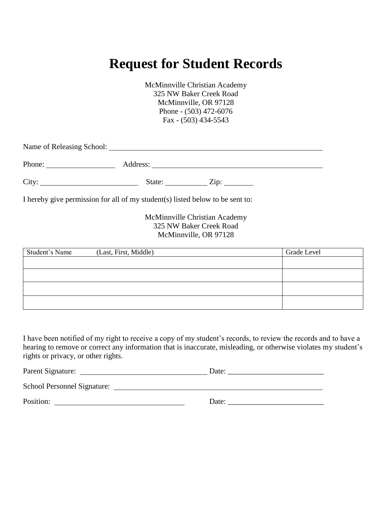### **Request for Student Records**

McMinnville Christian Academy 325 NW Baker Creek Road McMinnville, OR 97128 Phone - (503) 472-6076 Fax - (503) 434-5543

| Name of Releasing School: |          |      |  |  |
|---------------------------|----------|------|--|--|
| Phone:                    | Address: |      |  |  |
| City:                     | State:   | Zip: |  |  |

I hereby give permission for all of my student(s) listed below to be sent to:

McMinnville Christian Academy 325 NW Baker Creek Road McMinnville, OR 97128

| Student's Name | (Last, First, Middle) | Grade Level |
|----------------|-----------------------|-------------|
|                |                       |             |
|                |                       |             |
|                |                       |             |
|                |                       |             |
|                |                       |             |

I have been notified of my right to receive a copy of my student's records, to review the records and to have a hearing to remove or correct any information that is inaccurate, misleading, or otherwise violates my student's rights or privacy, or other rights.

| Parent Signature:           | Date: |
|-----------------------------|-------|
| School Personnel Signature: |       |
| Position:                   | Date: |